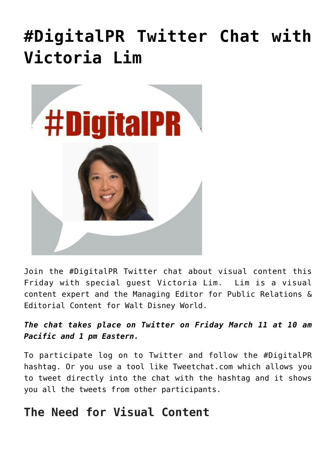## **[#DigitalPR Twitter Chat with](https://www.commpro.biz/digitalpr-twitter-chat-with-victoria-lim/) [Victoria Lim](https://www.commpro.biz/digitalpr-twitter-chat-with-victoria-lim/)**



Join the #DigitalPR Twitter chat about visual content this Friday with special guest Victoria Lim. Lim is a visual content expert and the Managing Editor for Public Relations & Editorial Content for Walt Disney World.

*The chat takes place on Twitter on Friday March 11 at 10 am Pacific and 1 pm Eastern.*

To participate log on to Twitter and follow the #DigitalPR hashtag. Or you use a tool like Tweetchat.com which allows you to tweet directly into the chat with the hashtag and it shows you all the tweets from other participants.

## **The Need for Visual Content**